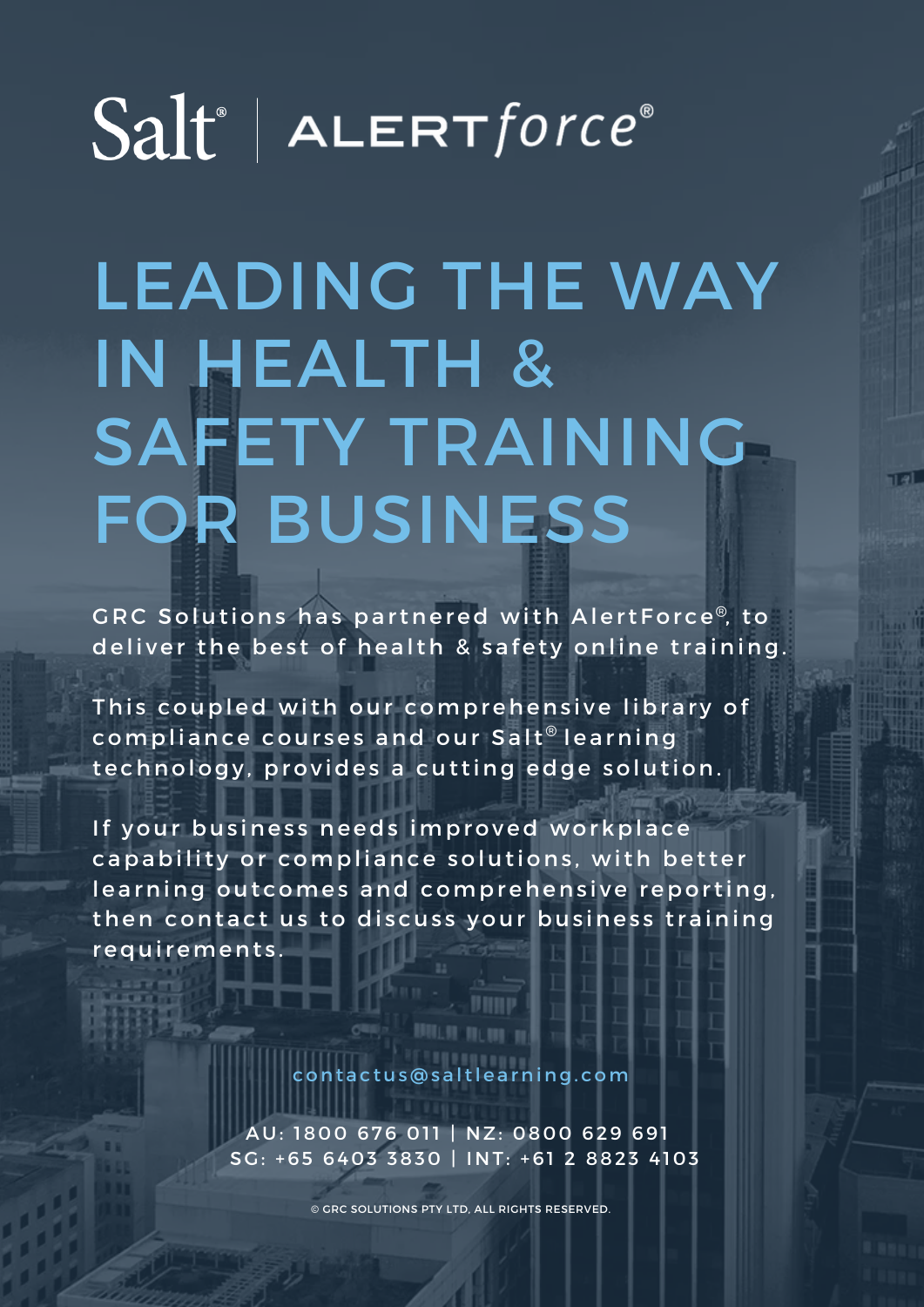## $Salt^*$  | ALERT force<sup>®</sup>

## LEADING THE WAY IN HEALTH & SAFETY TRAINING FOR BUSINESS

GRC Solutions has partnered with AlertForce®, to deliver the best of health & safety online training.

This coupled with our comprehensive library of compliance courses and our Salt $^\circ$  learning technology, provides a cutting edge solution.

If your business needs improved workplace capability or compliance solutions, with better learning outcomes and comprehensive reporting, then contact us to discuss your business training r e qui r e m e n t s.

c o n t a c t u s @ s a l t l e a r n i n g . c o m

AU: 1800 676 011 | NZ: 0800 629 691 SG: +65 6403 3830 | INT: +61 2 8823 4103

© GRC SOLUTIONS PTY LTD, ALL RIGHTS RESERVED.